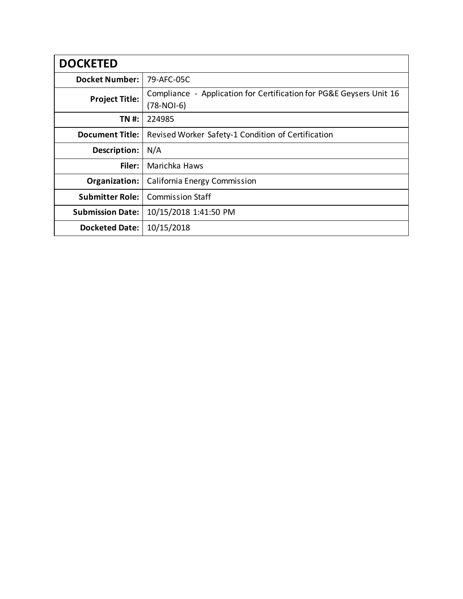| <b>DOCKETED</b>         |                                                                                     |
|-------------------------|-------------------------------------------------------------------------------------|
| <b>Docket Number:</b>   | 79-AFC-05C                                                                          |
| <b>Project Title:</b>   | Compliance - Application for Certification for PG&E Geysers Unit 16<br>$(78-NOI-6)$ |
| TN #:                   | 224985                                                                              |
| <b>Document Title:</b>  | Revised Worker Safety-1 Condition of Certification                                  |
| Description:            | N/A                                                                                 |
| Filer:                  | Marichka Haws                                                                       |
| Organization:           | California Energy Commission                                                        |
| <b>Submitter Role:</b>  | <b>Commission Staff</b>                                                             |
| <b>Submission Date:</b> | 10/15/2018 1:41:50 PM                                                               |
| <b>Docketed Date:</b>   | 10/15/2018                                                                          |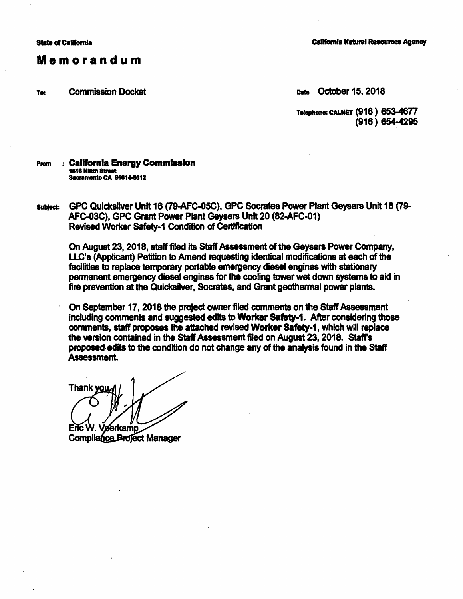## Memorandum

To: Commission Docket Data October 15, 2018

**California Natural Resources Agency** 

**Telephone: CALNET (916) 653-4677** (918) 854-4295

## Fram : Callfomla Energy Commlaalon **1516 Ninth Street Sacramento CA 95814-5512**

subject: GPC Quicksilver Unit 16 (79-AFC-05C), GPC Socrates Power Plant Geysers Unit 18 (79-AFC-03C), GPC Grant Power Plant Geysers Unit 20 (82-AFC-01) Revised Worker Safety-1 Condition of Certification

On August 23, 2018, staff filed its Staff Assessment of the Geysers Power Company, LLC's (Applicant) Petition to Amend requesting identical modifications at each of the facilities to replace temporary portable emergency diesel engines with stationary . permanent emergency diesel engines for the cooling tower wet down systems to aid in fire prevention at the Quicksilver, Socrates, and Grant geothermal power plants.

On September 17, 2018 the project owner filed comments on the Staff Assessment including comments and suggested edits to **Worker Safaty-1.** After considering those comments, staff **proposes** the attached revised **Worker Safety-1,** which will replace the version contained in the Staff Assessment filed on August 23, 2018. Staff's **proposed.** edits to the condition do not change any of the analysis found in the Staff Assessment.

**Thank vo** 

Enc W. **eerkamn Compliance Project Manager**